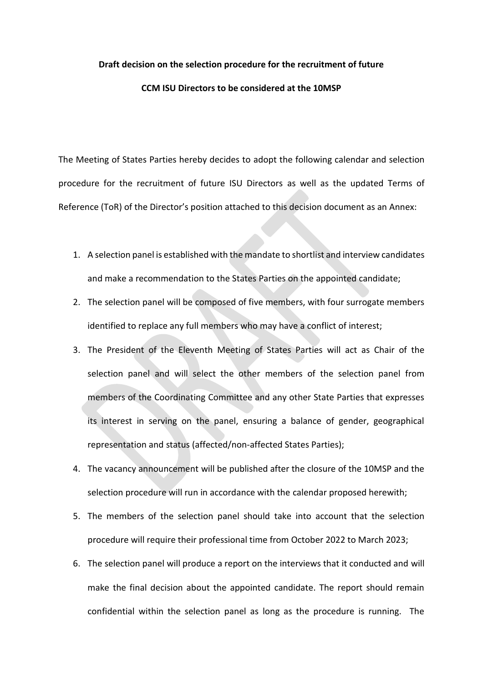## **Draft decision on the selection procedure for the recruitment of future**

## **CCM ISU Directors to be considered at the 10MSP**

The Meeting of States Parties hereby decides to adopt the following calendar and selection procedure for the recruitment of future ISU Directors as well as the updated Terms of Reference (ToR) of the Director's position attached to this decision document as an Annex:

- 1. A selection panel is established with the mandate to shortlist and interview candidates and make a recommendation to the States Parties on the appointed candidate;
- 2. The selection panel will be composed of five members, with four surrogate members identified to replace any full members who may have a conflict of interest;
- 3. The President of the Eleventh Meeting of States Parties will act as Chair of the selection panel and will select the other members of the selection panel from members of the Coordinating Committee and any other State Parties that expresses its interest in serving on the panel, ensuring a balance of gender, geographical representation and status (affected/non-affected States Parties);
- 4. The vacancy announcement will be published after the closure of the 10MSP and the selection procedure will run in accordance with the calendar proposed herewith;
- 5. The members of the selection panel should take into account that the selection procedure will require their professional time from October 2022 to March 2023;
- 6. The selection panel will produce a report on the interviews that it conducted and will make the final decision about the appointed candidate. The report should remain confidential within the selection panel as long as the procedure is running. The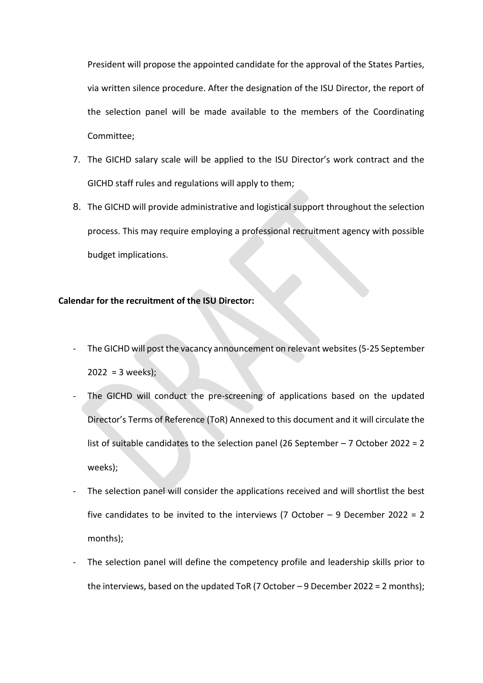President will propose the appointed candidate for the approval of the States Parties, via written silence procedure. After the designation of the ISU Director, the report of the selection panel will be made available to the members of the Coordinating Committee;

- 7. The GICHD salary scale will be applied to the ISU Director's work contract and the GICHD staff rules and regulations will apply to them;
- 8. The GICHD will provide administrative and logistical support throughout the selection process. This may require employing a professional recruitment agency with possible budget implications.

## **Calendar for the recruitment of the ISU Director:**

- The GICHD will post the vacancy announcement on relevant websites (5-25 September  $2022 = 3$  weeks);
- The GICHD will conduct the pre-screening of applications based on the updated Director's Terms of Reference (ToR) Annexed to this document and it will circulate the list of suitable candidates to the selection panel (26 September – 7 October 2022 = 2 weeks);
- The selection panel will consider the applications received and will shortlist the best five candidates to be invited to the interviews (7 October  $-$  9 December 2022 = 2 months);
- The selection panel will define the competency profile and leadership skills prior to the interviews, based on the updated ToR (7 October – 9 December 2022 = 2 months);